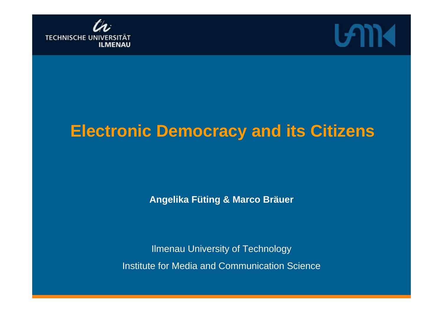



### **Electronic Democracy and its Citizens**

**Angelika Füting & Marco Bräuer**

Ilmenau University of Technology Institute for Media and Communication Science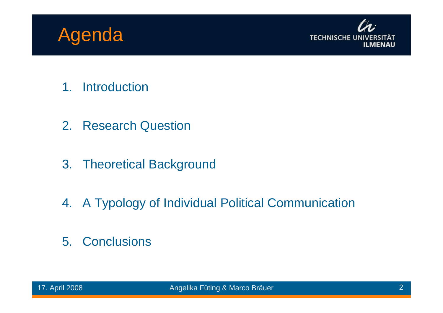



- 1. Introduction
- 2. Research Question
- 3. Theoretical Background
- 4. A Typology of Individual Political Communication
- 5. Conclusions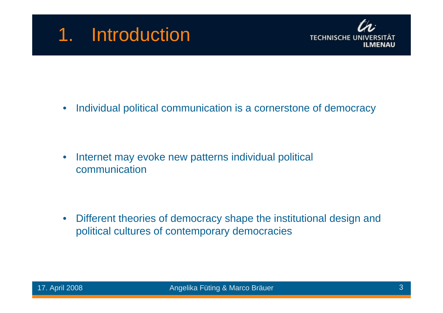### 1. Introduction



• Individual political communication is a cornerstone of democracy

• Internet may evoke new patterns individual political communication

• Different theories of democracy shape the institutional design and political cultures of contemporary democracies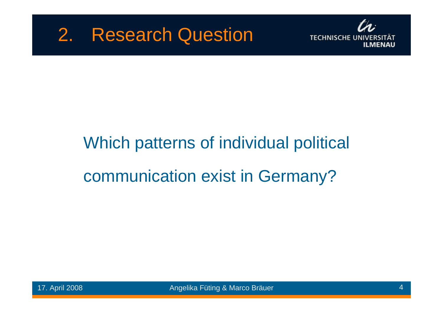

# Which patterns of individual political communication exist in Germany?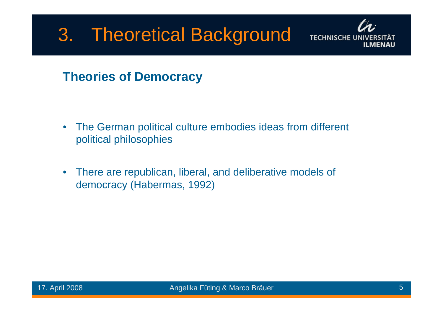

#### **Theories of Democracy**

- The German political culture embodies ideas from different political philosophies
- There are republican, liberal, and deliberative models of democracy (Habermas, 1992)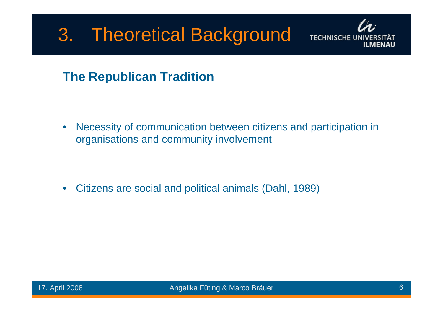

#### **The Republican Tradition**

• Necessity of communication between citizens and participation in organisations and community involvement

• Citizens are social and political animals (Dahl, 1989)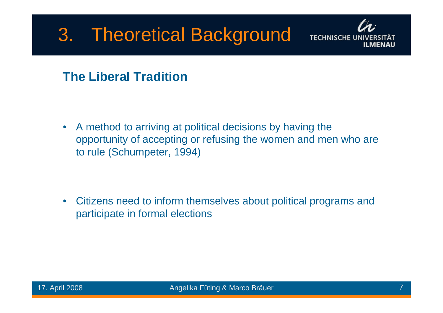

#### **The Liberal Tradition**

• A method to arriving at political decisions by having the opportunity of accepting or refusing the women and men who are to rule (Schumpeter, 1994)

• Citizens need to inform themselves about political programs and participate in formal elections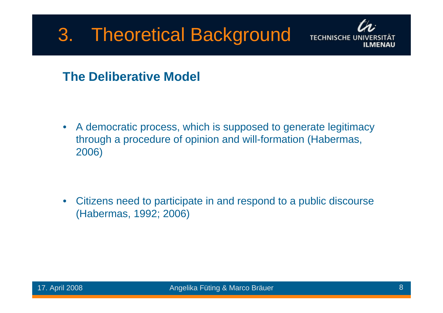

#### **The Deliberative Model**

• A democratic process, which is supposed to generate legitimacy through a procedure of opinion and will-formation (Habermas, 2006)

• Citizens need to participate in and respond to a public discourse (Habermas, 1992; 2006)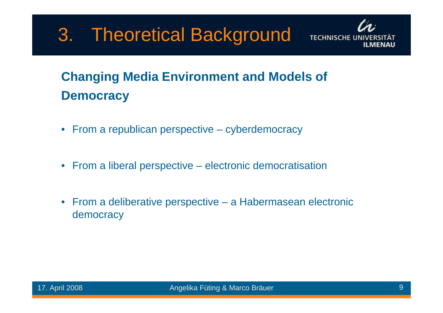

### **Changing Media Environment and Models of Democracy**

- From a republican perspective cyberdemocracy
- From a liberal perspective electronic democratisation
- From a deliberative perspective a Habermasean electronic democracy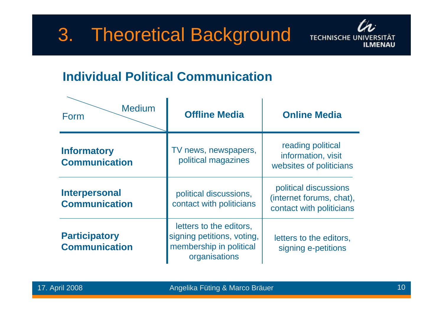

#### **Individual Political Communication**

| <b>Medium</b><br>Form                        | <b>Offline Media</b>                                                                              | <b>Online Media</b>                                                           |
|----------------------------------------------|---------------------------------------------------------------------------------------------------|-------------------------------------------------------------------------------|
| <b>Informatory</b><br><b>Communication</b>   | TV news, newspapers,<br>political magazines                                                       | reading political<br>information, visit<br>websites of politicians            |
| <b>Interpersonal</b><br><b>Communication</b> | political discussions,<br>contact with politicians                                                | political discussions<br>(internet forums, chat),<br>contact with politicians |
| <b>Participatory</b><br><b>Communication</b> | letters to the editors,<br>signing petitions, voting,<br>membership in political<br>organisations | letters to the editors,<br>signing e-petitions                                |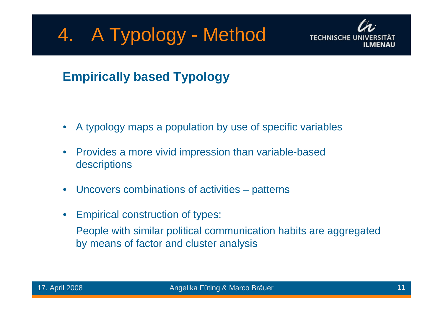## 4. A Typology - Method



#### **Empirically based Typology**

- A typology maps a population by use of specific variables
- Provides a more vivid impression than variable-based descriptions
- Uncovers combinations of activities patterns
- Empirical construction of types:

People with similar political communication habits are aggregated by means of factor and cluster analysis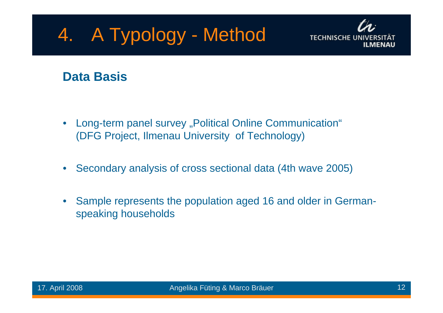### 4. A Typology - Method



#### **Data Basis**

- Long-term panel survey "Political Online Communication" (DFG Project, Ilmenau University of Technology)
- Secondary analysis of cross sectional data (4th wave 2005)
- Sample represents the population aged 16 and older in Germanspeaking households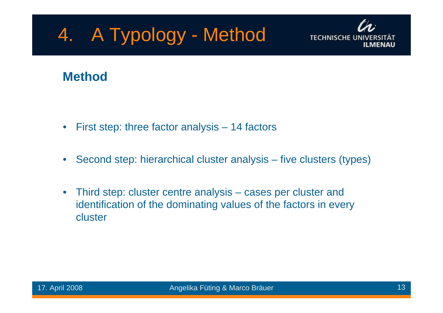### 4. A Typology - Method



#### **Method**

- First step: three factor analysis 14 factors
- Second step: hierarchical cluster analysis five clusters (types)
- Third step: cluster centre analysis cases per cluster and identification of the dominating values of the factors in every cluster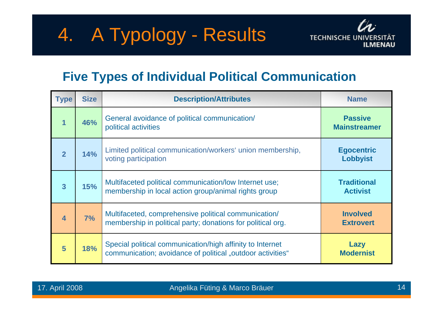

#### **Five Types of Individual Political Communication**

| <b>Type</b>             | <b>Size</b> | <b>Description/Attributes</b>                                                                                           | <b>Name</b>                           |
|-------------------------|-------------|-------------------------------------------------------------------------------------------------------------------------|---------------------------------------|
| $\overline{\mathbf{1}}$ | 46%         | General avoidance of political communication/<br>political activities                                                   | <b>Passive</b><br><b>Mainstreamer</b> |
| $\overline{2}$          | 14%         | Limited political communication/workers' union membership,<br>voting participation                                      | <b>Egocentric</b><br><b>Lobbyist</b>  |
| $\overline{\mathbf{3}}$ | 15%         | Multifaceted political communication/low Internet use;<br>membership in local action group/animal rights group          | <b>Traditional</b><br><b>Activist</b> |
| 4                       | 7%          | Multifaceted, comprehensive political communication/<br>membership in political party; donations for political org.     | <b>Involved</b><br><b>Extrovert</b>   |
| 5                       | 18%         | Special political communication/high affinity to Internet<br>communication; avoidance of political "outdoor activities" | Lazy<br><b>Modernist</b>              |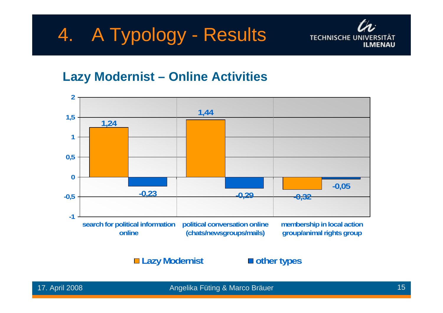

#### **Lazy Modernist – Online Activities**



#### **Lazy Modernist other types**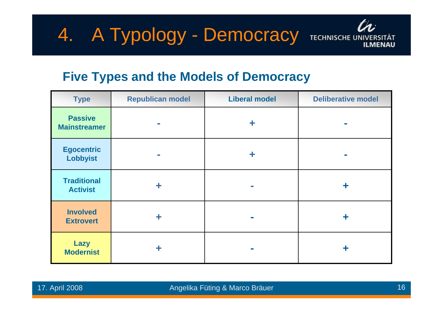

#### **Five Types and the Models of Democracy**

| <b>Type</b>                           | <b>Republican model</b> | <b>Liberal model</b> | <b>Deliberative model</b> |
|---------------------------------------|-------------------------|----------------------|---------------------------|
| <b>Passive</b><br><b>Mainstreamer</b> |                         |                      |                           |
| <b>Egocentric</b><br><b>Lobbyist</b>  | <b>Tale</b>             | ╋                    |                           |
| <b>Traditional</b><br><b>Activist</b> | ╇                       | <b>The State</b>     | ╋                         |
| <b>Involved</b><br><b>Extrovert</b>   | ╋                       | <b>Tale</b>          | ╋                         |
| <b>Lazy</b><br><b>Modernist</b>       |                         |                      | ÷                         |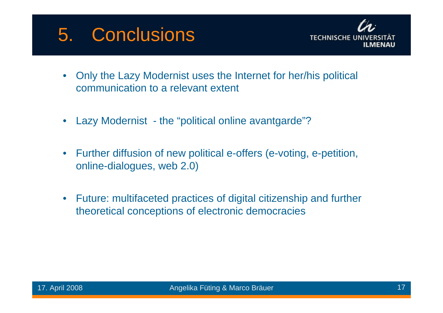### 5. Conclusions



- Only the Lazy Modernist uses the Internet for her/his political communication to a relevant extent
- Lazy Modernist the "political online avantgarde"?
- Further diffusion of new political e-offers (e-voting, e-petition, online-dialogues, web 2.0)
- Future: multifaceted practices of digital citizenship and further theoretical conceptions of electronic democracies